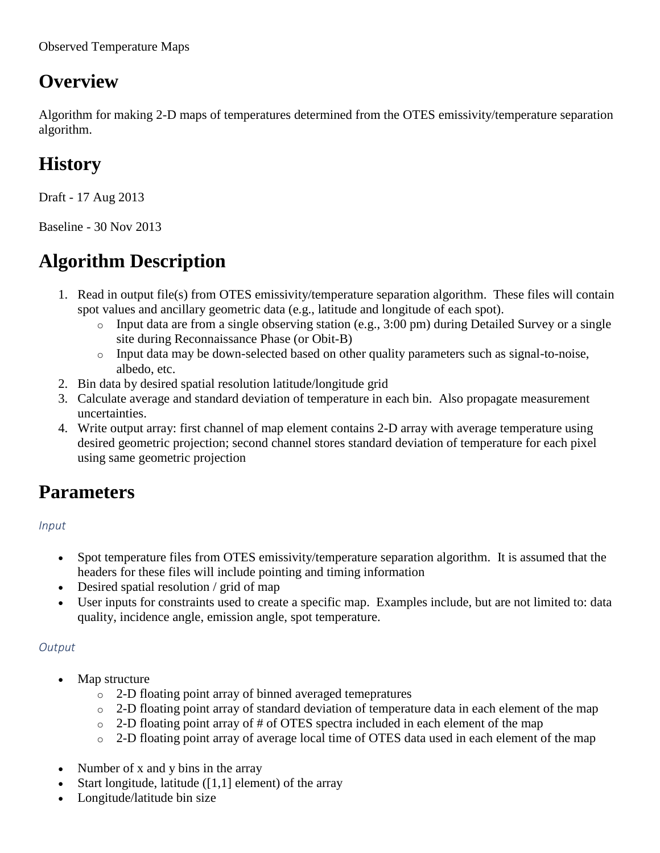## **Overview**

Algorithm for making 2-D maps of temperatures determined from the OTES emissivity/temperature separation algorithm.

# **History**

Draft - 17 Aug 2013

Baseline - 30 Nov 2013

# **Algorithm Description**

- 1. Read in output file(s) from OTES emissivity/temperature separation algorithm. These files will contain spot values and ancillary geometric data (e.g., latitude and longitude of each spot).
	- o Input data are from a single observing station (e.g., 3:00 pm) during Detailed Survey or a single site during Reconnaissance Phase (or Obit-B)
	- o Input data may be down-selected based on other quality parameters such as signal-to-noise, albedo, etc.
- 2. Bin data by desired spatial resolution latitude/longitude grid
- 3. Calculate average and standard deviation of temperature in each bin. Also propagate measurement uncertainties.
- 4. Write output array: first channel of map element contains 2-D array with average temperature using desired geometric projection; second channel stores standard deviation of temperature for each pixel using same geometric projection

### **Parameters**

*Input*

- Spot temperature files from OTES emissivity/temperature separation algorithm. It is assumed that the headers for these files will include pointing and timing information
- Desired spatial resolution / grid of map
- User inputs for constraints used to create a specific map. Examples include, but are not limited to: data quality, incidence angle, emission angle, spot temperature.

#### *Output*

- Map structure
	- o 2-D floating point array of binned averaged temepratures
	- $\circ$  2-D floating point array of standard deviation of temperature data in each element of the map
	- $\circ$  2-D floating point array of # of OTES spectra included in each element of the map
	- o 2-D floating point array of average local time of OTES data used in each element of the map
- Number of x and y bins in the array
- Start longitude, latitude  $(1,1]$  element) of the array
- Longitude/latitude bin size